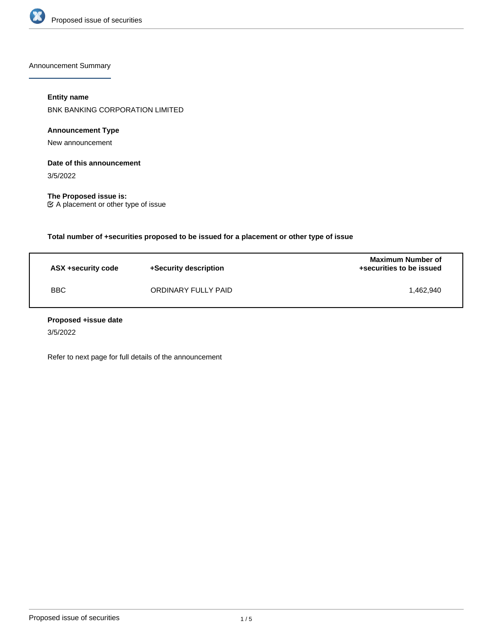

Announcement Summary

## **Entity name**

BNK BANKING CORPORATION LIMITED

# **Announcement Type**

New announcement

# **Date of this announcement**

3/5/2022

**The Proposed issue is:** A placement or other type of issue

**Total number of +securities proposed to be issued for a placement or other type of issue**

| ASX +security code | +Security description | <b>Maximum Number of</b><br>+securities to be issued |
|--------------------|-----------------------|------------------------------------------------------|
| <b>BBC</b>         | ORDINARY FULLY PAID   | 1.462.940                                            |

## **Proposed +issue date**

3/5/2022

Refer to next page for full details of the announcement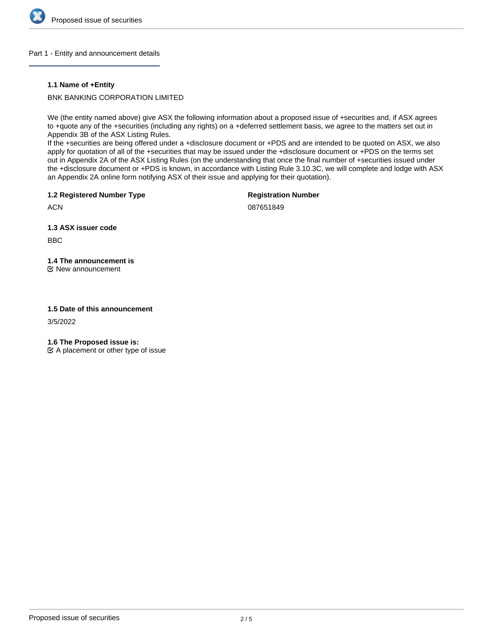

## Part 1 - Entity and announcement details

## **1.1 Name of +Entity**

BNK BANKING CORPORATION LIMITED

We (the entity named above) give ASX the following information about a proposed issue of +securities and, if ASX agrees to +quote any of the +securities (including any rights) on a +deferred settlement basis, we agree to the matters set out in Appendix 3B of the ASX Listing Rules.

If the +securities are being offered under a +disclosure document or +PDS and are intended to be quoted on ASX, we also apply for quotation of all of the +securities that may be issued under the +disclosure document or +PDS on the terms set out in Appendix 2A of the ASX Listing Rules (on the understanding that once the final number of +securities issued under the +disclosure document or +PDS is known, in accordance with Listing Rule 3.10.3C, we will complete and lodge with ASX an Appendix 2A online form notifying ASX of their issue and applying for their quotation).

**1.2 Registered Number Type**

**Registration Number**

**ACN** 

087651849

**1.3 ASX issuer code**

BBC

# **1.4 The announcement is**

New announcement

## **1.5 Date of this announcement**

3/5/2022

**1.6 The Proposed issue is:**

 $\mathfrak{C}$  A placement or other type of issue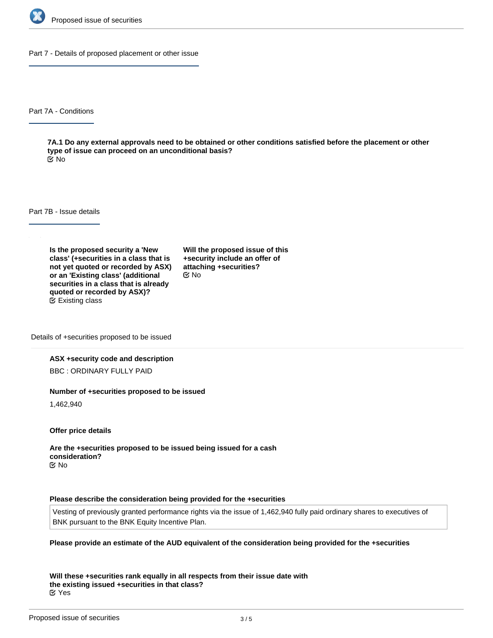

Part 7 - Details of proposed placement or other issue

Part 7A - Conditions

**7A.1 Do any external approvals need to be obtained or other conditions satisfied before the placement or other type of issue can proceed on an unconditional basis?** No

Part 7B - Issue details

**Is the proposed security a 'New class' (+securities in a class that is not yet quoted or recorded by ASX) or an 'Existing class' (additional securities in a class that is already quoted or recorded by ASX)?** Existing class

**Will the proposed issue of this +security include an offer of attaching +securities?** No

Details of +securities proposed to be issued

#### **ASX +security code and description**

BBC : ORDINARY FULLY PAID

#### **Number of +securities proposed to be issued**

1,462,940

**Offer price details**

**Are the +securities proposed to be issued being issued for a cash consideration?** No

#### **Please describe the consideration being provided for the +securities**

Vesting of previously granted performance rights via the issue of 1,462,940 fully paid ordinary shares to executives of BNK pursuant to the BNK Equity Incentive Plan.

#### **Please provide an estimate of the AUD equivalent of the consideration being provided for the +securities**

**Will these +securities rank equally in all respects from their issue date with the existing issued +securities in that class?** Yes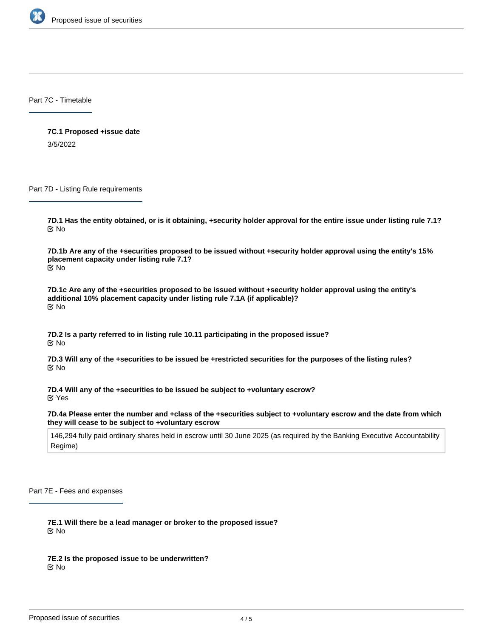

Part 7C - Timetable

**7C.1 Proposed +issue date** 3/5/2022

Part 7D - Listing Rule requirements

**7D.1 Has the entity obtained, or is it obtaining, +security holder approval for the entire issue under listing rule 7.1?** No

**7D.1b Are any of the +securities proposed to be issued without +security holder approval using the entity's 15% placement capacity under listing rule 7.1?** No

**7D.1c Are any of the +securities proposed to be issued without +security holder approval using the entity's additional 10% placement capacity under listing rule 7.1A (if applicable)?** No

**7D.2 Is a party referred to in listing rule 10.11 participating in the proposed issue? K** No

**7D.3 Will any of the +securities to be issued be +restricted securities for the purposes of the listing rules?** No

**7D.4 Will any of the +securities to be issued be subject to +voluntary escrow?** Yes

**7D.4a Please enter the number and +class of the +securities subject to +voluntary escrow and the date from which they will cease to be subject to +voluntary escrow**

146,294 fully paid ordinary shares held in escrow until 30 June 2025 (as required by the Banking Executive Accountability Regime)

Part 7E - Fees and expenses

**7E.1 Will there be a lead manager or broker to the proposed issue?** No

**7E.2 Is the proposed issue to be underwritten?** No